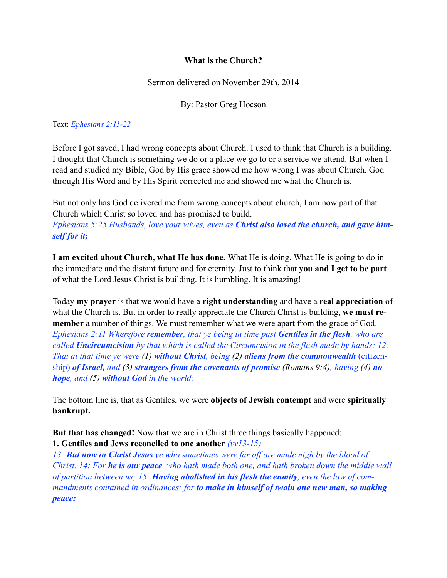## **What is the Church?**

Sermon delivered on November 29th, 2014

By: Pastor Greg Hocson

Text: *Ephesians 2:11-22*

Before I got saved, I had wrong concepts about Church. I used to think that Church is a building. I thought that Church is something we do or a place we go to or a service we attend. But when I read and studied my Bible, God by His grace showed me how wrong I was about Church. God through His Word and by His Spirit corrected me and showed me what the Church is.

But not only has God delivered me from wrong concepts about church, I am now part of that Church which Christ so loved and has promised to build.

*Ephesians 5:25 Husbands, love your wives, even as Christ also loved the church, and gave himself for it;* 

**I am excited about Church, what He has done.** What He is doing. What He is going to do in the immediate and the distant future and for eternity. Just to think that **you and I get to be part** of what the Lord Jesus Christ is building. It is humbling. It is amazing!

Today **my prayer** is that we would have a **right understanding** and have a **real appreciation** of what the Church is. But in order to really appreciate the Church Christ is building, **we must remember** a number of things. We must remember what we were apart from the grace of God. *Ephesians 2:11 Wherefore remember, that ye being in time past Gentiles in the flesh, who are called Uncircumcision by that which is called the Circumcision in the flesh made by hands; 12: That at that time ye were (1) without Christ, being (2) aliens from the commonwealth* (citizenship) *of Israel, and (3) strangers from the covenants of promise (Romans 9:4), having (4) no hope, and (5) without God in the world:* 

The bottom line is, that as Gentiles, we were **objects of Jewish contempt** and were **spiritually bankrupt.**

**But that has changed!** Now that we are in Christ three things basically happened: **1. Gentiles and Jews reconciled to one another** *(vv13-15)*

*13: But now in Christ Jesus ye who sometimes were far off are made nigh by the blood of Christ. 14: For he is our peace, who hath made both one, and hath broken down the middle wall of partition between us; 15: Having abolished in his flesh the enmity, even the law of commandments contained in ordinances; for to make in himself of twain one new man, so making peace;*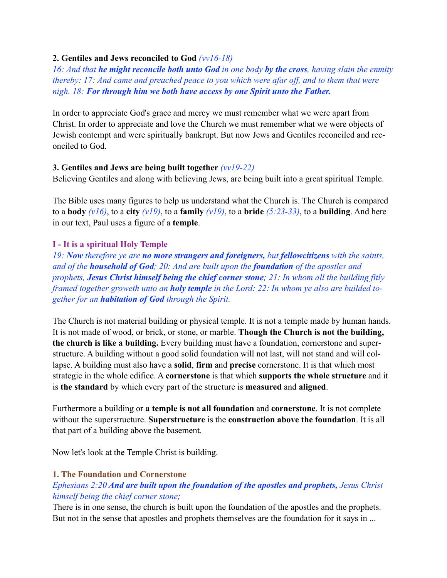## **2. Gentiles and Jews reconciled to God** *(vv16-18)*

*16: And that he might reconcile both unto God in one body by the cross, having slain the enmity thereby: 17: And came and preached peace to you which were afar off, and to them that were nigh. 18: For through him we both have access by one Spirit unto the Father.*

In order to appreciate God's grace and mercy we must remember what we were apart from Christ. In order to appreciate and love the Church we must remember what we were objects of Jewish contempt and were spiritually bankrupt. But now Jews and Gentiles reconciled and reconciled to God.

## **3. Gentiles and Jews are being built together** *(vv19-22)*

Believing Gentiles and along with believing Jews, are being built into a great spiritual Temple.

The Bible uses many figures to help us understand what the Church is. The Church is compared to a **body**  $(v16)$ , to a **city**  $(v19)$ , to a **family**  $(v19)$ , to a **bride**  $(5:23-33)$ , to a **building**. And here in our text, Paul uses a figure of a **temple**.

## **I - It is a spiritual Holy Temple**

*19: Now therefore ye are no more strangers and foreigners, but fellowcitizens with the saints, and of the household of God; 20: And are built upon the foundation of the apostles and prophets, Jesus Christ himself being the chief corner stone; 21: In whom all the building fitly framed together groweth unto an holy temple in the Lord: 22: In whom ye also are builded together for an habitation of God through the Spirit.* 

The Church is not material building or physical temple. It is not a temple made by human hands. It is not made of wood, or brick, or stone, or marble. **Though the Church is not the building, the church is like a building.** Every building must have a foundation, cornerstone and superstructure. A building without a good solid foundation will not last, will not stand and will collapse. A building must also have a **solid**, **firm** and **precise** cornerstone. It is that which most strategic in the whole edifice. A **cornerstone** is that which **supports the whole structure** and it is **the standard** by which every part of the structure is **measured** and **aligned**.

Furthermore a building or **a temple is not all foundation** and **cornerstone**. It is not complete without the superstructure. **Superstructure** is the **construction above the foundation**. It is all that part of a building above the basement.

Now let's look at the Temple Christ is building.

## **1. The Foundation and Cornerstone**

# *Ephesians 2:20 And are built upon the foundation of the apostles and prophets, Jesus Christ himself being the chief corner stone;*

There is in one sense, the church is built upon the foundation of the apostles and the prophets. But not in the sense that apostles and prophets themselves are the foundation for it says in ...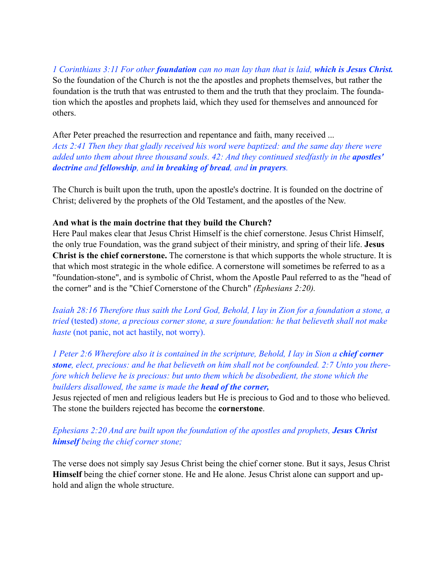*1 Corinthians 3:11 For other foundation can no man lay than that is laid, which is Jesus Christ.* So the foundation of the Church is not the the apostles and prophets themselves, but rather the foundation is the truth that was entrusted to them and the truth that they proclaim. The foundation which the apostles and prophets laid, which they used for themselves and announced for others.

After Peter preached the resurrection and repentance and faith, many received ... *Acts 2:41 Then they that gladly received his word were baptized: and the same day there were added unto them about three thousand souls. 42: And they continued stedfastly in the <i>apostles' doctrine and fellowship, and in breaking of bread, and in prayers.* 

The Church is built upon the truth, upon the apostle's doctrine. It is founded on the doctrine of Christ; delivered by the prophets of the Old Testament, and the apostles of the New.

#### **And what is the main doctrine that they build the Church?**

Here Paul makes clear that Jesus Christ Himself is the chief cornerstone. Jesus Christ Himself, the only true Foundation, was the grand subject of their ministry, and spring of their life. **Jesus Christ is the chief cornerstone.** The cornerstone is that which supports the whole structure. It is that which most strategic in the whole edifice. A cornerstone will sometimes be referred to as a "foundation-stone", and is symbolic of Christ, whom the Apostle Paul referred to as the "head of the corner" and is the "Chief Cornerstone of the Church" *(Ephesians 2:20).*

*Isaiah 28:16 Therefore thus saith the Lord God, Behold, I lay in Zion for a foundation a stone, a tried* (tested) *stone, a precious corner stone, a sure foundation: he that believeth shall not make haste* (not panic, not act hastily, not worry).

*1 Peter 2:6 Wherefore also it is contained in the scripture, Behold, I lay in Sion a chief corner stone, elect, precious: and he that believeth on him shall not be confounded. 2:7 Unto you therefore which believe he is precious: but unto them which be disobedient, the stone which the builders disallowed, the same is made the head of the corner,*

Jesus rejected of men and religious leaders but He is precious to God and to those who believed. The stone the builders rejected has become the **cornerstone**.

# *Ephesians 2:20 And are built upon the foundation of the apostles and prophets, Jesus Christ himself being the chief corner stone;*

The verse does not simply say Jesus Christ being the chief corner stone. But it says, Jesus Christ **Himself** being the chief corner stone. He and He alone. Jesus Christ alone can support and uphold and align the whole structure.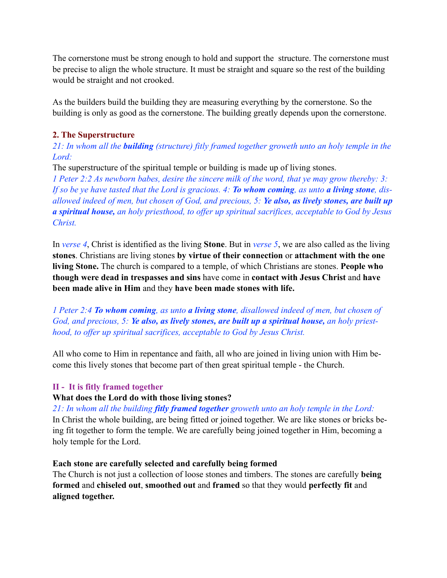The cornerstone must be strong enough to hold and support the structure. The cornerstone must be precise to align the whole structure. It must be straight and square so the rest of the building would be straight and not crooked.

As the builders build the building they are measuring everything by the cornerstone. So the building is only as good as the cornerstone. The building greatly depends upon the cornerstone.

### **2. The Superstructure**

*21: In whom all the building (structure) fitly framed together groweth unto an holy temple in the Lord:*

The superstructure of the spiritual temple or building is made up of living stones.

*1 Peter 2:2 As newborn babes, desire the sincere milk of the word, that ye may grow thereby: 3: If so be ye have tasted that the Lord is gracious. 4: To whom coming, as unto a living stone, disallowed indeed of men, but chosen of God, and precious, 5: Ye also, as lively stones, are built up a spiritual house, an holy priesthood, to offer up spiritual sacrifices, acceptable to God by Jesus Christ.*

In *verse 4*, Christ is identified as the living **Stone**. But in *verse 5*, we are also called as the living **stones**. Christians are living stones **by virtue of their connection** or **attachment with the one living Stone.** The church is compared to a temple, of which Christians are stones. **People who though were dead in trespasses and sins** have come in **contact with Jesus Christ** and **have been made alive in Him** and they **have been made stones with life.** 

*1 Peter 2:4 To whom coming, as unto a living stone, disallowed indeed of men, but chosen of*  God, and precious, 5: Ye also, as lively stones, are built up a spiritual house, an holy priest*hood, to offer up spiritual sacrifices, acceptable to God by Jesus Christ.*

All who come to Him in repentance and faith, all who are joined in living union with Him become this lively stones that become part of then great spiritual temple - the Church.

## **II - It is fitly framed together**

#### **What does the Lord do with those living stones?**

*21: In whom all the building fitly framed together groweth unto an holy temple in the Lord:* In Christ the whole building, are being fitted or joined together. We are like stones or bricks being fit together to form the temple. We are carefully being joined together in Him, becoming a holy temple for the Lord.

#### **Each stone are carefully selected and carefully being formed**

The Church is not just a collection of loose stones and timbers. The stones are carefully **being formed** and **chiseled out**, **smoothed out** and **framed** so that they would **perfectly fit** and **aligned together.**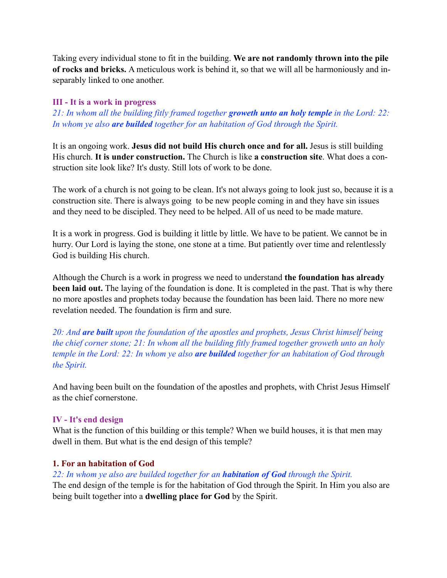Taking every individual stone to fit in the building. **We are not randomly thrown into the pile of rocks and bricks.** A meticulous work is behind it, so that we will all be harmoniously and inseparably linked to one another.

## **III - It is a work in progress**

*21: In whom all the building fitly framed together groweth unto an holy temple in the Lord: 22: In whom ye also are builded together for an habitation of God through the Spirit.*

It is an ongoing work. **Jesus did not build His church once and for all.** Jesus is still building His church. **It is under construction.** The Church is like **a construction site**. What does a construction site look like? It's dusty. Still lots of work to be done.

The work of a church is not going to be clean. It's not always going to look just so, because it is a construction site. There is always going to be new people coming in and they have sin issues and they need to be discipled. They need to be helped. All of us need to be made mature.

It is a work in progress. God is building it little by little. We have to be patient. We cannot be in hurry. Our Lord is laying the stone, one stone at a time. But patiently over time and relentlessly God is building His church.

Although the Church is a work in progress we need to understand **the foundation has already been laid out.** The laying of the foundation is done. It is completed in the past. That is why there no more apostles and prophets today because the foundation has been laid. There no more new revelation needed. The foundation is firm and sure.

*20: And are built upon the foundation of the apostles and prophets, Jesus Christ himself being the chief corner stone; 21: In whom all the building fitly framed together groweth unto an holy temple in the Lord: 22: In whom ye also are builded together for an habitation of God through the Spirit.* 

And having been built on the foundation of the apostles and prophets, with Christ Jesus Himself as the chief cornerstone.

#### **IV - It's end design**

What is the function of this building or this temple? When we build houses, it is that men may dwell in them. But what is the end design of this temple?

## **1. For an habitation of God**

*22: In whom ye also are builded together for an habitation of God through the Spirit.*

The end design of the temple is for the habitation of God through the Spirit. In Him you also are being built together into a **dwelling place for God** by the Spirit.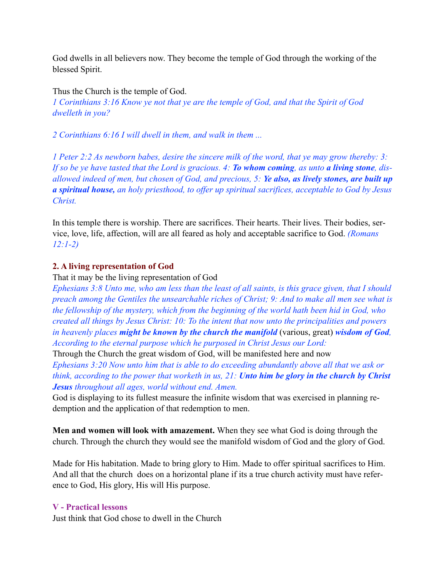God dwells in all believers now. They become the temple of God through the working of the blessed Spirit.

Thus the Church is the temple of God. *1 Corinthians 3:16 Know ye not that ye are the temple of God, and that the Spirit of God dwelleth in you?* 

*2 Corinthians 6:16 I will dwell in them, and walk in them ...* 

*1 Peter 2:2 As newborn babes, desire the sincere milk of the word, that ye may grow thereby: 3: If so be ye have tasted that the Lord is gracious. 4: To whom coming, as unto a living stone, disallowed indeed of men, but chosen of God, and precious, 5: Ye also, as lively stones, are built up a spiritual house, an holy priesthood, to offer up spiritual sacrifices, acceptable to God by Jesus Christ.*

In this temple there is worship. There are sacrifices. Their hearts. Their lives. Their bodies, service, love, life, affection, will are all feared as holy and acceptable sacrifice to God. *(Romans 12:1-2)*

#### **2. A living representation of God**

That it may be the living representation of God

*Ephesians 3:8 Unto me, who am less than the least of all saints, is this grace given, that I should preach among the Gentiles the unsearchable riches of Christ; 9: And to make all men see what is the fellowship of the mystery, which from the beginning of the world hath been hid in God, who created all things by Jesus Christ: 10: To the intent that now unto the principalities and powers in heavenly places might be known by the church the manifold* (various, great) *wisdom of God, According to the eternal purpose which he purposed in Christ Jesus our Lord:*

Through the Church the great wisdom of God, will be manifested here and now

*Ephesians 3:20 Now unto him that is able to do exceeding abundantly above all that we ask or think, according to the power that worketh in us, 21: Unto him be glory in the church by Christ Jesus throughout all ages, world without end. Amen.*

God is displaying to its fullest measure the infinite wisdom that was exercised in planning redemption and the application of that redemption to men.

**Men and women will look with amazement.** When they see what God is doing through the church. Through the church they would see the manifold wisdom of God and the glory of God.

Made for His habitation. Made to bring glory to Him. Made to offer spiritual sacrifices to Him. And all that the church does on a horizontal plane if its a true church activity must have reference to God, His glory, His will His purpose.

#### **V - Practical lessons**

Just think that God chose to dwell in the Church